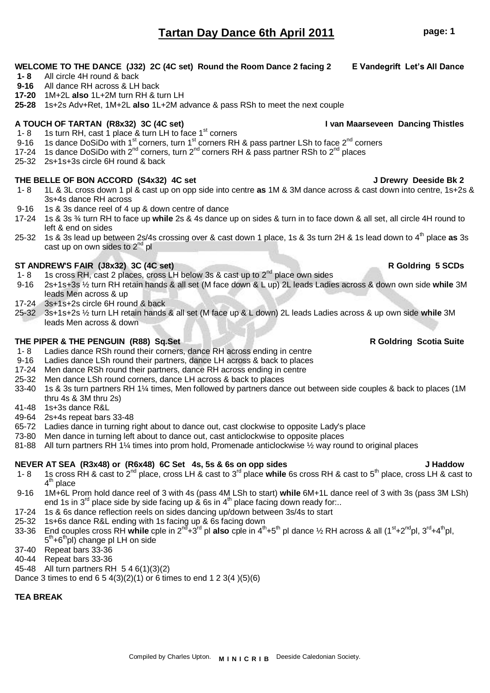25-32 2s+1s+3s circle 6H round & back

# **THE BELLE OF BON ACCORD (S4x32) 4C set J Drewry Deeside Bk 2**

- 1- 8 1L & 3L cross down 1 pl & cast up on opp side into centre **as** 1M & 3M dance across & cast down into centre, 1s+2s & 3s+4s dance RH across
- 9-16 1s & 3s dance reel of 4 up & down centre of dance
- 17-24 1s & 3s ¾ turn RH to face up **while** 2s & 4s dance up on sides & turn in to face down & all set, all circle 4H round to left & end on sides
- 25-32 1s & 3s lead up between 2s/4s crossing over & cast down 1 place, 1s & 3s turn 2H & 1s lead down to 4<sup>th</sup> place as 3s cast up on own sides to  $2<sup>nd</sup>$  pl

- 1- 8 1s cross RH, cast 2 places, cross LH below 3s & cast up to  $2^{nd}$  place own sides
- 9-16 2s+1s+3s ½ turn RH retain hands & all set (M face down & L up) 2L leads Ladies across & down own side **while** 3M leads Men across & up
- 17-24 3s+1s+2s circle 6H round & back
- 25-32 3s+1s+2s ½ turn LH retain hands & all set (M face up & L down) 2L leads Ladies across & up own side **while** 3M leads Men across & down

# **THE PIPER & THE PENGUIN (R88) Sq.Set R Goldring Scotia Suite**

- 1- 8 Ladies dance RSh round their corners, dance RH across ending in centre
- 9-16 Ladies dance LSh round their partners, dance LH across & back to places
- 17-24 Men dance RSh round their partners, dance RH across ending in centre
- 25-32 Men dance LSh round corners, dance LH across & back to places
- 33-40 1s & 3s turn partners RH 1¼ times, Men followed by partners dance out between side couples & back to places (1M thru 4s & 3M thru 2s)
- 41-48 1s+3s dance R&L
- 49-64 2s+4s repeat bars 33-48
- 65-72 Ladies dance in turning right about to dance out, cast clockwise to opposite Lady's place
- 73-80 Men dance in turning left about to dance out, cast anticlockwise to opposite places
- 81-88 All turn partners RH 1¼ times into prom hold, Promenade anticlockwise 1/2 way round to original places

# **NEVER AT SEA (R3x48) or (R6x48) 6C Set 4s, 5s & 6s on opp sides J Haddow**

- 1- 8 1s cross RH & cast to 2nd place, cross LH & cast to 3rd place **while** 6s cross RH & cast to 5th place, cross LH & cast to 4<sup>th</sup> place
- 9-16 1M+6L Prom hold dance reel of 3 with 4s (pass 4M LSh to start) **while** 6M+1L dance reel of 3 with 3s (pass 3M LSh) end 1s in  $3^{rd}$  place side by side facing up  $\ddot{\textbf{a}}$  6s in 4<sup>th</sup> place facing down ready for...
- 17-24 1s & 6s dance reflection reels on sides dancing up/down between 3s/4s to start
- 25-32 1s+6s dance R&L ending with 1s facing up & 6s facing down
- 33-36 End couples cross RH **while** cple in 2nd+3rd pl **also** cple in 4th+5th pl dance ½ RH across & all (1st+2ndpl, 3rd+4thpl, 5<sup>th</sup>+6<sup>th</sup>pl) change pl LH on side
- 37-40 Repeat bars 33-36
- 40-44 Repeat bars 33-36
- 45-48 All turn partners RH 5 4 6(1)(3)(2)

Dance 3 times to end  $6\ 5\ 4(3)(2)(1)$  or 6 times to end  $1\ 2\ 3(4)(5)(6)$ 

# **TEA BREAK**

# **Tartan Day Dance 6th April 2011 page: 1**

## **WELCOME TO THE DANCE (J32) 2C (4C set) Round the Room Dance 2 facing 2 E Vandegrift Let's All Dance**

- **1- 8** All circle 4H round & back
- **9-16** All dance RH across & LH back
- **17-20** 1M+2L **also** 1L+2M turn RH & turn LH
- **25-28** 1s+2s Adv+Ret, 1M+2L **also** 1L+2M advance & pass RSh to meet the next couple

# **A TOUCH OF TARTAN (R8x32) 3C (4C set) I van Maarseveen Dancing Thistles**

- 1- 8 1s turn RH, cast 1 place  $\&$  turn LH to face 1<sup>st</sup> corners
- 9-16 1s dance DoSiDo with 1<sup>st</sup> corners, turn 1<sup>st</sup> corners RH & pass partner LSh to face 2<sup>nd</sup> corners
- 17-24 1s dance DoSiDo with 2<sup>nd</sup> corners, turn 2<sup>nd</sup> corners RH & pass partner RSh to 2<sup>nd</sup> places
- 

ST ANDREW'S FAIR (J8x32) 3C (4C set) **R** Goldring 5 SCDs

- 
-